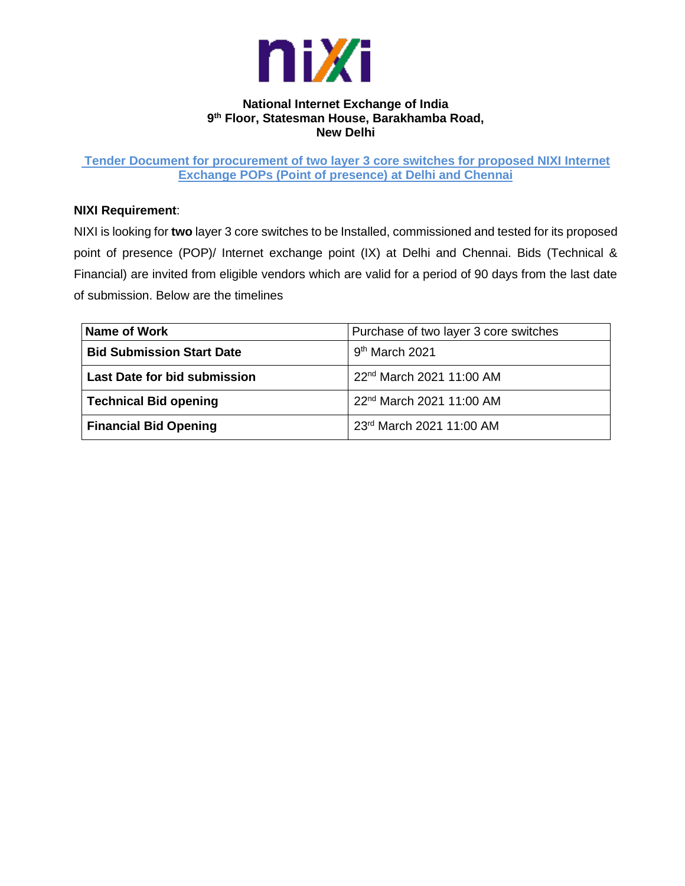

### **National Internet Exchange of India 9 th Floor, Statesman House, Barakhamba Road, New Delhi**

**Tender Document for procurement of two layer 3 core switches for proposed NIXI Internet Exchange POPs (Point of presence) at Delhi and Chennai**

## **NIXI Requirement**:

NIXI is looking for **two** layer 3 core switches to be Installed, commissioned and tested for its proposed point of presence (POP)/ Internet exchange point (IX) at Delhi and Chennai. Bids (Technical & Financial) are invited from eligible vendors which are valid for a period of 90 days from the last date of submission. Below are the timelines

| Name of Work                        | Purchase of two layer 3 core switches |  |
|-------------------------------------|---------------------------------------|--|
| <b>Bid Submission Start Date</b>    | $9th$ March 2021                      |  |
| <b>Last Date for bid submission</b> | 22 <sup>nd</sup> March 2021 11:00 AM  |  |
| <b>Technical Bid opening</b>        | 22 <sup>nd</sup> March 2021 11:00 AM  |  |
| <b>Financial Bid Opening</b>        | 23rd March 2021 11:00 AM              |  |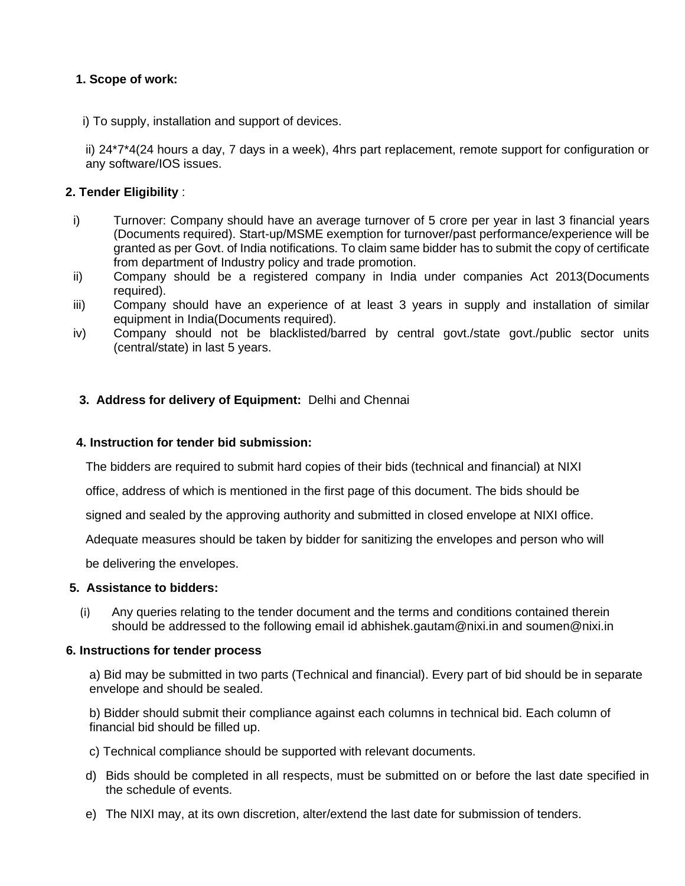## **1. Scope of work:**

i) To supply, installation and support of devices.

ii) 24\*7\*4(24 hours a day, 7 days in a week), 4hrs part replacement, remote support for configuration or any software/IOS issues.

## **2. Tender Eligibility** :

- i) Turnover: Company should have an average turnover of 5 crore per year in last 3 financial years (Documents required). Start-up/MSME exemption for turnover/past performance/experience will be granted as per Govt. of India notifications. To claim same bidder has to submit the copy of certificate from department of Industry policy and trade promotion.
- ii) Company should be a registered company in India under companies Act 2013(Documents required).
- iii) Company should have an experience of at least 3 years in supply and installation of similar equipment in India(Documents required).
- iv) Company should not be blacklisted/barred by central govt./state govt./public sector units (central/state) in last 5 years.

## **3. Address for delivery of Equipment:** Delhi and Chennai

#### **4. Instruction for tender bid submission:**

The bidders are required to submit hard copies of their bids (technical and financial) at NIXI

office, address of which is mentioned in the first page of this document. The bids should be

signed and sealed by the approving authority and submitted in closed envelope at NIXI office.

Adequate measures should be taken by bidder for sanitizing the envelopes and person who will

be delivering the envelopes.

#### **5. Assistance to bidders:**

(i) Any queries relating to the tender document and the terms and conditions contained therein should be addressed to the following email id [abhishek.gautam@nixi.in](mailto:abhishek.gautam@nixi.in) and soumen@nixi.in

#### **6. Instructions for tender process**

a) Bid may be submitted in two parts (Technical and financial). Every part of bid should be in separate envelope and should be sealed.

b) Bidder should submit their compliance against each columns in technical bid. Each column of financial bid should be filled up.

- c) Technical compliance should be supported with relevant documents.
- d) Bids should be completed in all respects, must be submitted on or before the last date specified in the schedule of events.
- e) The NIXI may, at its own discretion, alter/extend the last date for submission of tenders.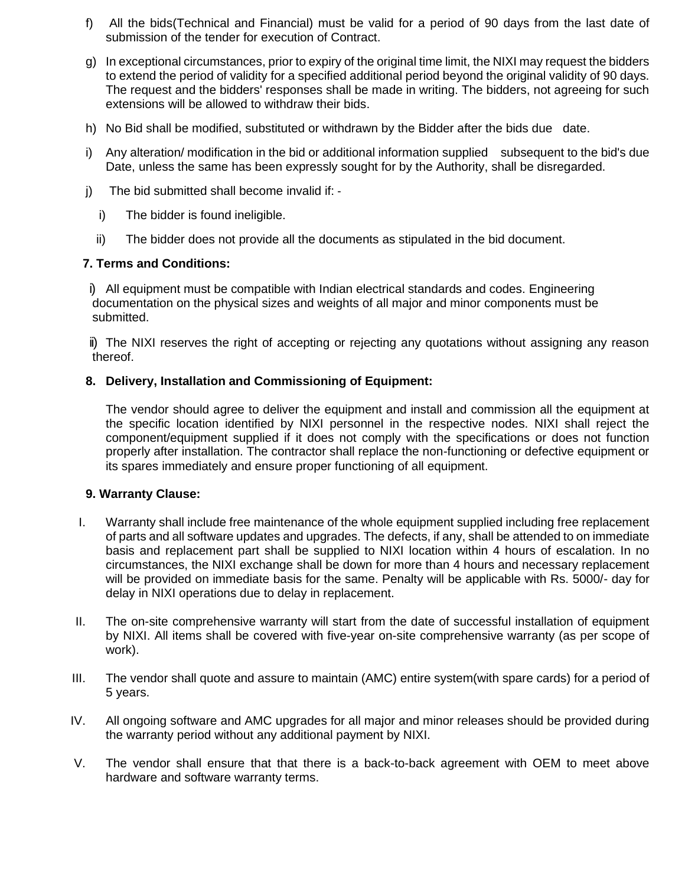- f) All the bids(Technical and Financial) must be valid for a period of 90 days from the last date of submission of the tender for execution of Contract.
- g) In exceptional circumstances, prior to expiry of the original time limit, the NIXI may request the bidders to extend the period of validity for a specified additional period beyond the original validity of 90 days. The request and the bidders' responses shall be made in writing. The bidders, not agreeing for such extensions will be allowed to withdraw their bids.
- h) No Bid shall be modified, substituted or withdrawn by the Bidder after the bids due date.
- i) Any alteration/ modification in the bid or additional information supplied subsequent to the bid's due Date, unless the same has been expressly sought for by the Authority, shall be disregarded.
- j) The bid submitted shall become invalid if: ‐
	- i) The bidder is found ineligible.
	- ii) The bidder does not provide all the documents as stipulated in the bid document.

### **7. Terms and Conditions:**

i) All equipment must be compatible with Indian electrical standards and codes. Engineering documentation on the physical sizes and weights of all major and minor components must be submitted.

ii) The NIXI reserves the right of accepting or rejecting any quotations without assigning any reason thereof.

### **8. Delivery, Installation and Commissioning of Equipment:**

The vendor should agree to deliver the equipment and install and commission all the equipment at the specific location identified by NIXI personnel in the respective nodes. NIXI shall reject the component/equipment supplied if it does not comply with the specifications or does not function properly after installation. The contractor shall replace the non-functioning or defective equipment or its spares immediately and ensure proper functioning of all equipment.

#### **9. Warranty Clause:**

- I. Warranty shall include free maintenance of the whole equipment supplied including free replacement of parts and all software updates and upgrades. The defects, if any, shall be attended to on immediate basis and replacement part shall be supplied to NIXI location within 4 hours of escalation. In no circumstances, the NIXI exchange shall be down for more than 4 hours and necessary replacement will be provided on immediate basis for the same. Penalty will be applicable with Rs. 5000/- day for delay in NIXI operations due to delay in replacement.
- II. The on-site comprehensive warranty will start from the date of successful installation of equipment by NIXI. All items shall be covered with five-year on-site comprehensive warranty (as per scope of work).
- III. The vendor shall quote and assure to maintain (AMC) entire system(with spare cards) for a period of 5 years.
- IV. All ongoing software and AMC upgrades for all major and minor releases should be provided during the warranty period without any additional payment by NIXI.
- V. The vendor shall ensure that that there is a back-to-back agreement with OEM to meet above hardware and software warranty terms.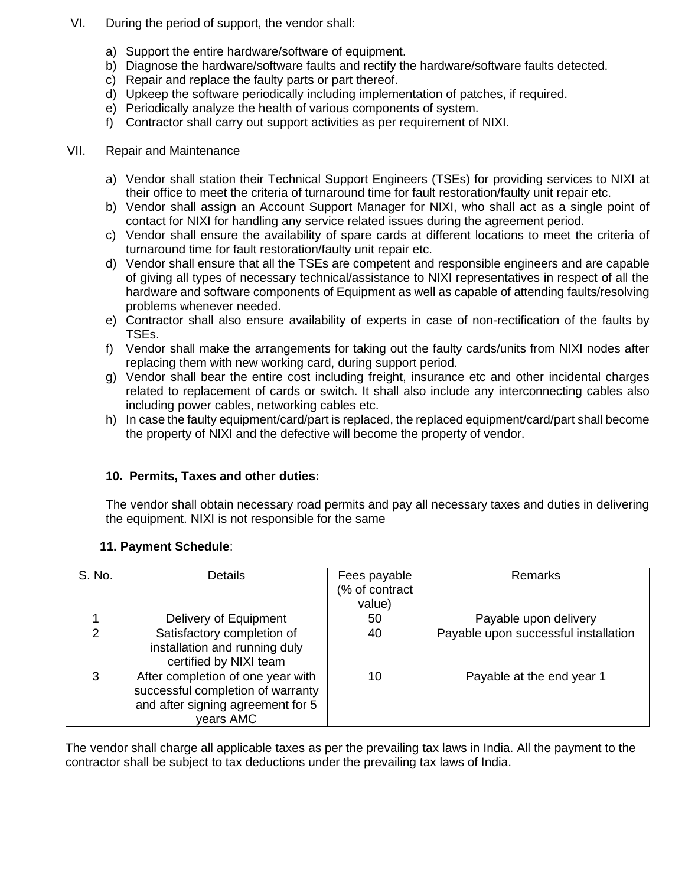- VI. During the period of support, the vendor shall:
	- a) Support the entire hardware/software of equipment.
	- b) Diagnose the hardware/software faults and rectify the hardware/software faults detected.
	- c) Repair and replace the faulty parts or part thereof.
	- d) Upkeep the software periodically including implementation of patches, if required.
	- e) Periodically analyze the health of various components of system.
	- f) Contractor shall carry out support activities as per requirement of NIXI.

### VII. Repair and Maintenance

- a) Vendor shall station their Technical Support Engineers (TSEs) for providing services to NIXI at their office to meet the criteria of turnaround time for fault restoration/faulty unit repair etc.
- b) Vendor shall assign an Account Support Manager for NIXI, who shall act as a single point of contact for NIXI for handling any service related issues during the agreement period.
- c) Vendor shall ensure the availability of spare cards at different locations to meet the criteria of turnaround time for fault restoration/faulty unit repair etc.
- d) Vendor shall ensure that all the TSEs are competent and responsible engineers and are capable of giving all types of necessary technical/assistance to NIXI representatives in respect of all the hardware and software components of Equipment as well as capable of attending faults/resolving problems whenever needed.
- e) Contractor shall also ensure availability of experts in case of non-rectification of the faults by TSEs.
- f) Vendor shall make the arrangements for taking out the faulty cards/units from NIXI nodes after replacing them with new working card, during support period.
- g) Vendor shall bear the entire cost including freight, insurance etc and other incidental charges related to replacement of cards or switch. It shall also include any interconnecting cables also including power cables, networking cables etc.
- h) In case the faulty equipment/card/part is replaced, the replaced equipment/card/part shall become the property of NIXI and the defective will become the property of vendor.

## **10. Permits, Taxes and other duties:**

The vendor shall obtain necessary road permits and pay all necessary taxes and duties in delivering the equipment. NIXI is not responsible for the same

| S. No. | Details                                                                                                                  | Fees payable<br>(% of contract<br>value) | Remarks                              |
|--------|--------------------------------------------------------------------------------------------------------------------------|------------------------------------------|--------------------------------------|
|        | Delivery of Equipment                                                                                                    | 50                                       | Payable upon delivery                |
| າ      | Satisfactory completion of<br>installation and running duly<br>certified by NIXI team                                    | 40                                       | Payable upon successful installation |
| 3      | After completion of one year with<br>successful completion of warranty<br>and after signing agreement for 5<br>vears AMC | 10                                       | Payable at the end year 1            |

## **11. Payment Schedule**:

The vendor shall charge all applicable taxes as per the prevailing tax laws in India. All the payment to the contractor shall be subject to tax deductions under the prevailing tax laws of India.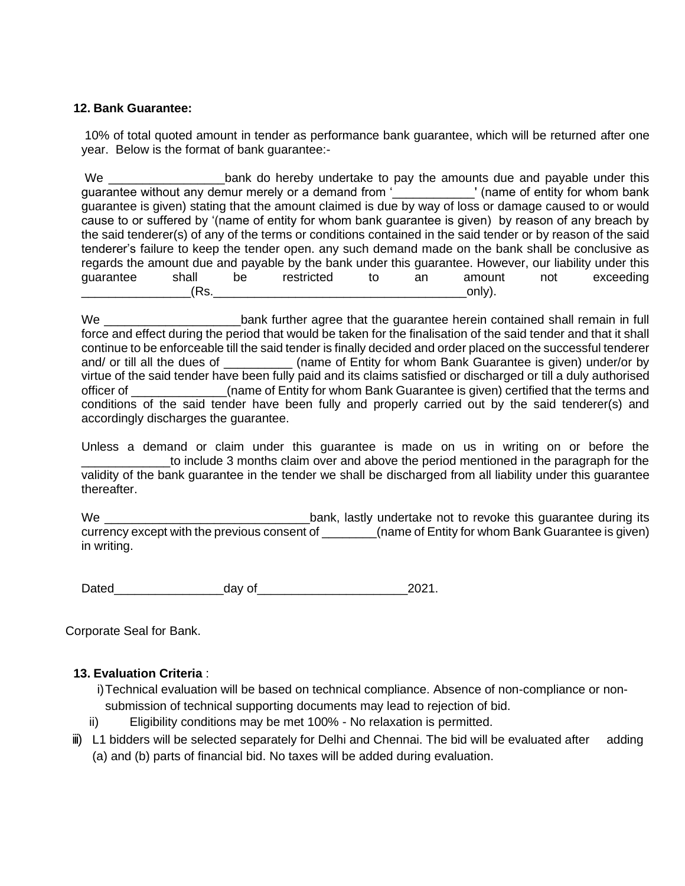## **12. Bank Guarantee:**

10% of total quoted amount in tender as performance bank guarantee, which will be returned after one year. Below is the format of bank guarantee:-

We \_\_\_\_\_\_\_\_\_\_\_\_\_\_\_\_\_bank do hereby undertake to pay the amounts due and payable under this guarantee without any demur merely or a demand from '\_\_\_\_\_\_\_\_\_\_\_\_' (name of entity for whom bank guarantee is given) stating that the amount claimed is due by way of loss or damage caused to or would cause to or suffered by '(name of entity for whom bank guarantee is given) by reason of any breach by the said tenderer(s) of any of the terms or conditions contained in the said tender or by reason of the said tenderer's failure to keep the tender open. any such demand made on the bank shall be conclusive as regards the amount due and payable by the bank under this guarantee. However, our liability under this quarantee shall be restricted to an amount not exceeding guarantee shall be restricted to an amount not exceeding  $(Rs.$ 

We \_\_\_\_\_\_\_\_\_\_\_\_\_\_\_\_\_\_\_\_\_\_\_\_\_\_\_\_bank further agree that the guarantee herein contained shall remain in full force and effect during the period that would be taken for the finalisation of the said tender and that it shall continue to be enforceable till the said tender is finally decided and order placed on the successful tenderer and/ or till all the dues of \_\_\_\_\_\_\_\_\_\_ (name of Entity for whom Bank Guarantee is given) under/or by virtue of the said tender have been fully paid and its claims satisfied or discharged or till a duly authorised officer of \_\_\_\_\_\_\_\_\_\_\_\_\_\_(name of Entity for whom Bank Guarantee is given) certified that the terms and conditions of the said tender have been fully and properly carried out by the said tenderer(s) and accordingly discharges the guarantee.

Unless a demand or claim under this guarantee is made on us in writing on or before the \_\_\_\_\_\_\_\_\_\_\_\_\_to include 3 months claim over and above the period mentioned in the paragraph for the validity of the bank guarantee in the tender we shall be discharged from all liability under this guarantee thereafter.

We \_\_\_\_\_\_\_\_\_\_\_\_\_\_\_\_\_\_\_\_\_\_\_\_\_\_\_\_\_\_bank, lastly undertake not to revoke this guarantee during its currency except with the previous consent of  $\overline{a}$  (name of Entity for whom Bank Guarantee is given) in writing.

Dated day of 2021.

Corporate Seal for Bank.

## **13. Evaluation Criteria** :

i)Technical evaluation will be based on technical compliance. Absence of non-compliance or nonsubmission of technical supporting documents may lead to rejection of bid.

- ii) Eligibility conditions may be met 100% No relaxation is permitted.
- iii) L1 bidders will be selected separately for Delhi and Chennai. The bid will be evaluated after adding (a) and (b) parts of financial bid. No taxes will be added during evaluation.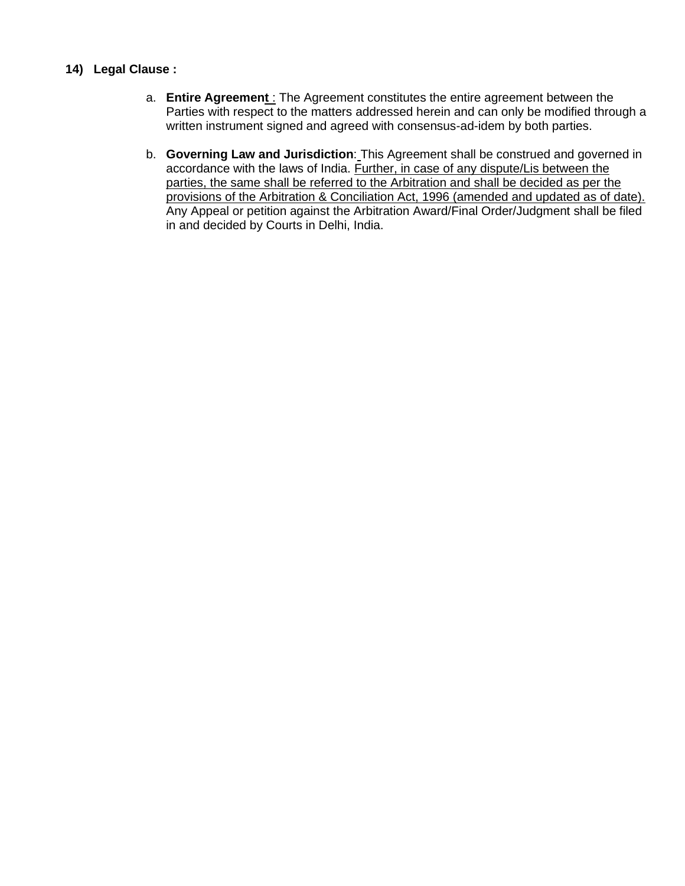## **14) Legal Clause :**

- a. **Entire Agreement** : The Agreement constitutes the entire agreement between the Parties with respect to the matters addressed herein and can only be modified through a written instrument signed and agreed with consensus-ad-idem by both parties.
- b. **Governing Law and Jurisdiction**: This Agreement shall be construed and governed in accordance with the laws of India. Further, in case of any dispute/Lis between the parties, the same shall be referred to the Arbitration and shall be decided as per the provisions of the Arbitration & Conciliation Act, 1996 (amended and updated as of date). Any Appeal or petition against the Arbitration Award/Final Order/Judgment shall be filed in and decided by Courts in Delhi, India.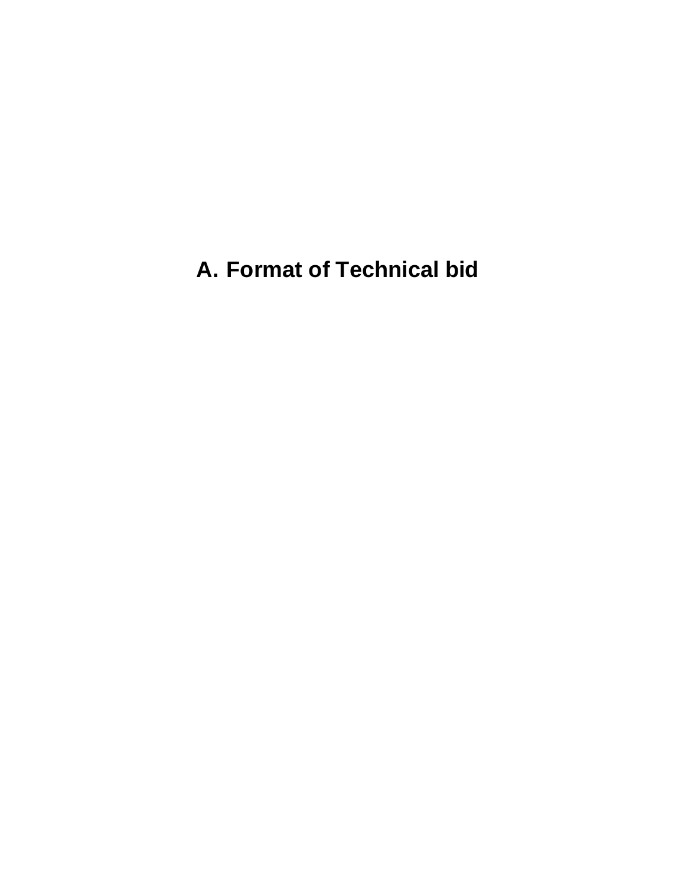**A. Format of Technical bid**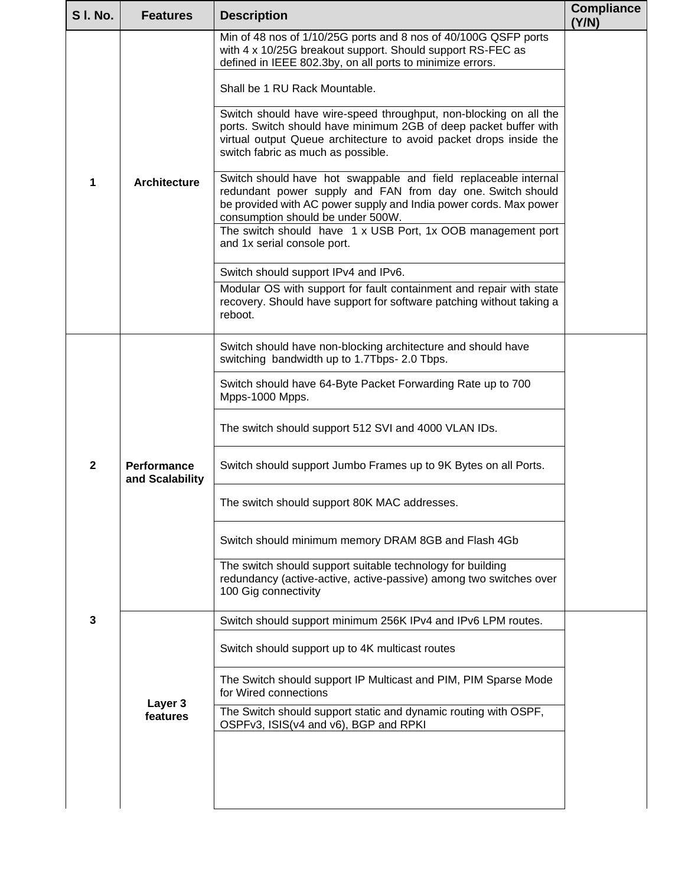| <b>SI. No.</b> | <b>Features</b>                       | <b>Description</b>                                                                                                                                                                                                                                | <b>Compliance</b><br>(Y/N) |
|----------------|---------------------------------------|---------------------------------------------------------------------------------------------------------------------------------------------------------------------------------------------------------------------------------------------------|----------------------------|
|                |                                       | Min of 48 nos of 1/10/25G ports and 8 nos of 40/100G QSFP ports<br>with 4 x 10/25G breakout support. Should support RS-FEC as<br>defined in IEEE 802.3by, on all ports to minimize errors.                                                        |                            |
|                |                                       | Shall be 1 RU Rack Mountable.                                                                                                                                                                                                                     |                            |
|                |                                       | Switch should have wire-speed throughput, non-blocking on all the<br>ports. Switch should have minimum 2GB of deep packet buffer with<br>virtual output Queue architecture to avoid packet drops inside the<br>switch fabric as much as possible. |                            |
| 1              | <b>Architecture</b>                   | Switch should have hot swappable and field replaceable internal<br>redundant power supply and FAN from day one. Switch should<br>be provided with AC power supply and India power cords. Max power<br>consumption should be under 500W.           |                            |
|                |                                       | The switch should have 1 x USB Port, 1x OOB management port<br>and 1x serial console port.                                                                                                                                                        |                            |
|                |                                       | Switch should support IPv4 and IPv6.                                                                                                                                                                                                              |                            |
|                |                                       | Modular OS with support for fault containment and repair with state<br>recovery. Should have support for software patching without taking a<br>reboot.                                                                                            |                            |
|                |                                       | Switch should have non-blocking architecture and should have<br>switching bandwidth up to 1.7Tbps- 2.0 Tbps.                                                                                                                                      |                            |
|                |                                       | Switch should have 64-Byte Packet Forwarding Rate up to 700<br>Mpps-1000 Mpps.                                                                                                                                                                    |                            |
|                |                                       | The switch should support 512 SVI and 4000 VLAN IDs.                                                                                                                                                                                              |                            |
| $\overline{2}$ | <b>Performance</b><br>and Scalability | Switch should support Jumbo Frames up to 9K Bytes on all Ports.                                                                                                                                                                                   |                            |
|                |                                       | The switch should support 80K MAC addresses                                                                                                                                                                                                       |                            |
|                |                                       | Switch should minimum memory DRAM 8GB and Flash 4Gb                                                                                                                                                                                               |                            |
|                |                                       | The switch should support suitable technology for building<br>redundancy (active-active, active-passive) among two switches over<br>100 Gig connectivity                                                                                          |                            |
| $\mathbf{3}$   |                                       | Switch should support minimum 256K IPv4 and IPv6 LPM routes.                                                                                                                                                                                      |                            |
|                |                                       | Switch should support up to 4K multicast routes                                                                                                                                                                                                   |                            |
|                | Layer 3                               | The Switch should support IP Multicast and PIM, PIM Sparse Mode<br>for Wired connections                                                                                                                                                          |                            |
|                | features                              | The Switch should support static and dynamic routing with OSPF,<br>OSPFv3, ISIS(v4 and v6), BGP and RPKI                                                                                                                                          |                            |
|                |                                       |                                                                                                                                                                                                                                                   |                            |
|                |                                       |                                                                                                                                                                                                                                                   |                            |
|                |                                       |                                                                                                                                                                                                                                                   |                            |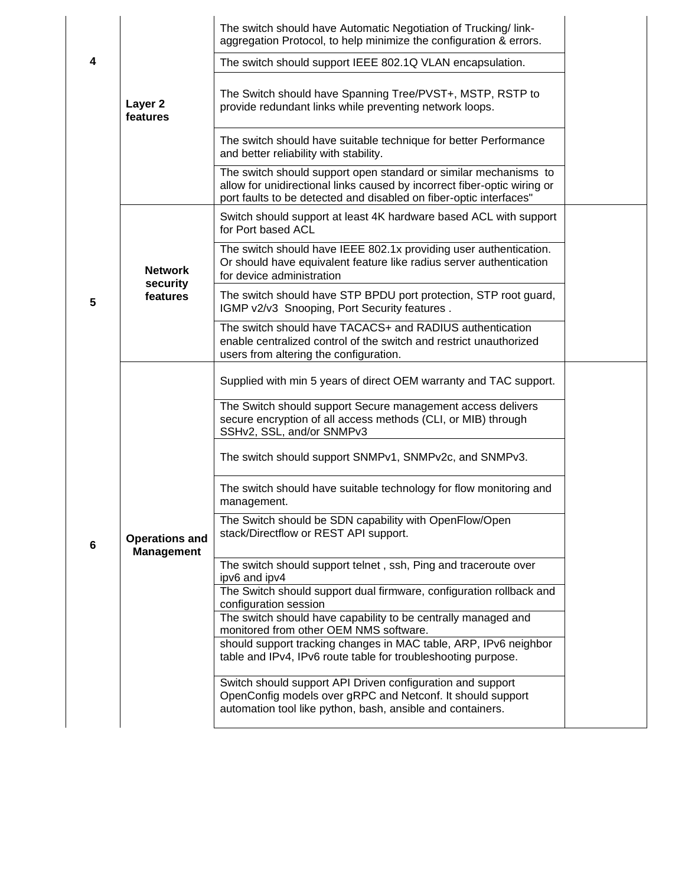|   |                                            | The switch should have Automatic Negotiation of Trucking/link-<br>aggregation Protocol, to help minimize the configuration & errors.                                                                               |  |
|---|--------------------------------------------|--------------------------------------------------------------------------------------------------------------------------------------------------------------------------------------------------------------------|--|
| 4 |                                            | The switch should support IEEE 802.1Q VLAN encapsulation.                                                                                                                                                          |  |
|   | Layer 2<br>features                        | The Switch should have Spanning Tree/PVST+, MSTP, RSTP to<br>provide redundant links while preventing network loops.                                                                                               |  |
|   |                                            | The switch should have suitable technique for better Performance<br>and better reliability with stability.                                                                                                         |  |
|   |                                            | The switch should support open standard or similar mechanisms to<br>allow for unidirectional links caused by incorrect fiber-optic wiring or<br>port faults to be detected and disabled on fiber-optic interfaces" |  |
|   |                                            | Switch should support at least 4K hardware based ACL with support<br>for Port based ACL                                                                                                                            |  |
|   | <b>Network</b><br>security                 | The switch should have IEEE 802.1x providing user authentication.<br>Or should have equivalent feature like radius server authentication<br>for device administration                                              |  |
| 5 | features                                   | The switch should have STP BPDU port protection, STP root guard,<br>IGMP v2/v3 Snooping, Port Security features.                                                                                                   |  |
|   |                                            | The switch should have TACACS+ and RADIUS authentication<br>enable centralized control of the switch and restrict unauthorized<br>users from altering the configuration.                                           |  |
|   |                                            | Supplied with min 5 years of direct OEM warranty and TAC support.                                                                                                                                                  |  |
|   |                                            | The Switch should support Secure management access delivers<br>secure encryption of all access methods (CLI, or MIB) through<br>SSHv2, SSL, and/or SNMPv3                                                          |  |
|   |                                            | The switch should support SNMPv1, SNMPv2c, and SNMPv3.                                                                                                                                                             |  |
|   |                                            | The switch should have suitable technology for flow monitoring and<br>management.                                                                                                                                  |  |
| 6 | <b>Operations and</b><br><b>Management</b> | The Switch should be SDN capability with OpenFlow/Open<br>stack/Directflow or REST API support.                                                                                                                    |  |
|   |                                            | The switch should support telnet, ssh, Ping and traceroute over<br>ipv6 and ipv4                                                                                                                                   |  |
|   |                                            | The Switch should support dual firmware, configuration rollback and<br>configuration session                                                                                                                       |  |
|   |                                            | The switch should have capability to be centrally managed and<br>monitored from other OEM NMS software.                                                                                                            |  |
|   |                                            | should support tracking changes in MAC table, ARP, IPv6 neighbor<br>table and IPv4, IPv6 route table for troubleshooting purpose.                                                                                  |  |
|   |                                            | Switch should support API Driven configuration and support<br>OpenConfig models over gRPC and Netconf. It should support<br>automation tool like python, bash, ansible and containers.                             |  |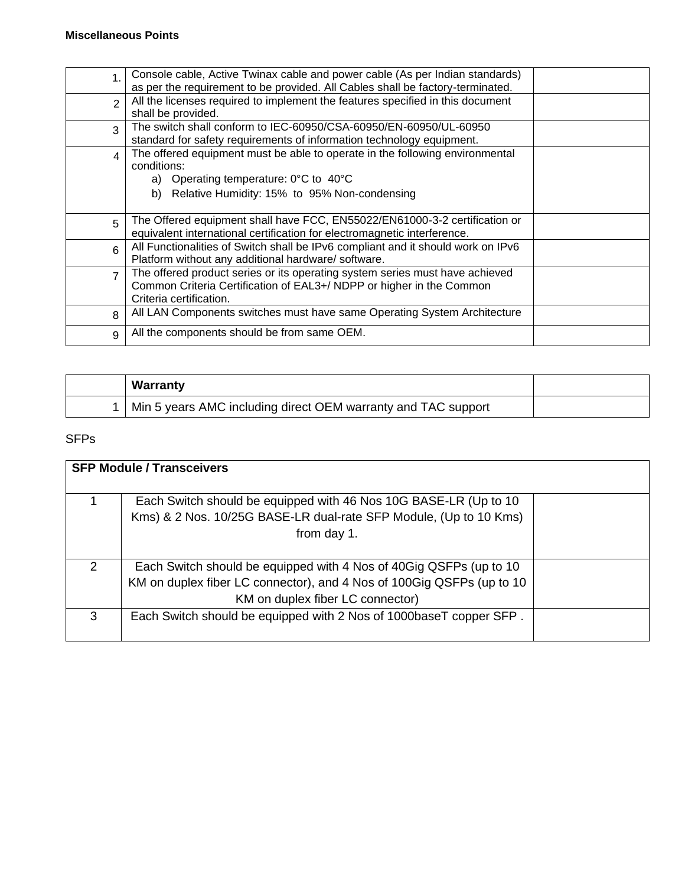| $\mathbf{1}$   | Console cable, Active Twinax cable and power cable (As per Indian standards)<br>as per the requirement to be provided. All Cables shall be factory-terminated.                                              |  |
|----------------|-------------------------------------------------------------------------------------------------------------------------------------------------------------------------------------------------------------|--|
| $\mathcal{P}$  | All the licenses required to implement the features specified in this document<br>shall be provided.                                                                                                        |  |
| 3              | The switch shall conform to IEC-60950/CSA-60950/EN-60950/UL-60950<br>standard for safety requirements of information technology equipment.                                                                  |  |
| $\overline{4}$ | The offered equipment must be able to operate in the following environmental<br>conditions:<br>a) Operating temperature: $0^{\circ}$ C to $40^{\circ}$ C<br>b) Relative Humidity: 15% to 95% Non-condensing |  |
| 5              | The Offered equipment shall have FCC, EN55022/EN61000-3-2 certification or<br>equivalent international certification for electromagnetic interference.                                                      |  |
| 6              | All Functionalities of Switch shall be IPv6 compliant and it should work on IPv6<br>Platform without any additional hardware/ software.                                                                     |  |
| $\overline{7}$ | The offered product series or its operating system series must have achieved<br>Common Criteria Certification of EAL3+/ NDPP or higher in the Common<br>Criteria certification.                             |  |
| 8              | All LAN Components switches must have same Operating System Architecture                                                                                                                                    |  |
| 9              | All the components should be from same OEM.                                                                                                                                                                 |  |

| Warranty                                                      |  |
|---------------------------------------------------------------|--|
| Min 5 years AMC including direct OEM warranty and TAC support |  |

## SFPs

|               | <b>SFP Module / Transceivers</b>                                                                                                                                                 |  |
|---------------|----------------------------------------------------------------------------------------------------------------------------------------------------------------------------------|--|
|               | Each Switch should be equipped with 46 Nos 10G BASE-LR (Up to 10)<br>Kms) & 2 Nos. 10/25G BASE-LR dual-rate SFP Module, (Up to 10 Kms)<br>from day 1.                            |  |
| $\mathcal{P}$ | Each Switch should be equipped with 4 Nos of 40Gig QSFPs (up to 10)<br>KM on duplex fiber LC connector), and 4 Nos of 100Gig QSFPs (up to 10<br>KM on duplex fiber LC connector) |  |
| 3             | Each Switch should be equipped with 2 Nos of 1000baseT copper SFP.                                                                                                               |  |